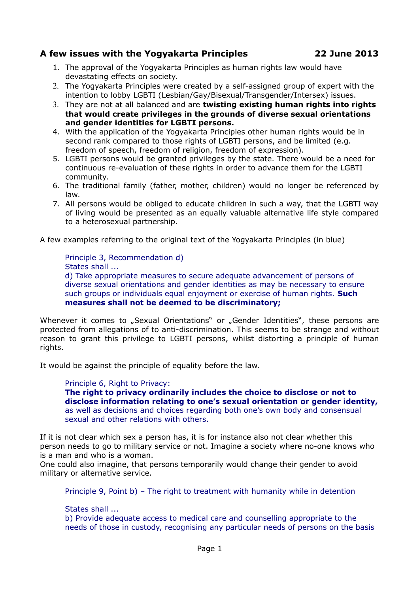# **A few issues with the Yogyakarta Principles 22 June 2013**

- 1. The approval of the Yogyakarta Principles as human rights law would have devastating effects on society.
- 2. The Yogyakarta Principles were created by a self-assigned group of expert with the intention to lobby LGBTI (Lesbian/Gay/Bisexual/Transgender/Intersex) issues.
- 3. They are not at all balanced and are **twisting existing human rights into rights that would create privileges in the grounds of diverse sexual orientations and gender identities for LGBTI persons.**
- 4. With the application of the Yogyakarta Principles other human rights would be in second rank compared to those rights of LGBTI persons, and be limited (e.g. freedom of speech, freedom of religion, freedom of expression).
- 5. LGBTI persons would be granted privileges by the state. There would be a need for continuous re-evaluation of these rights in order to advance them for the LGBTI community.
- 6. The traditional family (father, mother, children) would no longer be referenced by law.
- 7. All persons would be obliged to educate children in such a way, that the LGBTI way of living would be presented as an equally valuable alternative life style compared to a heterosexual partnership.

A few examples referring to the original text of the Yogyakarta Principles (in blue)

Principle 3, Recommendation d) States shall ... d) Take appropriate measures to secure adequate advancement of persons of diverse sexual orientations and gender identities as may be necessary to ensure such groups or individuals equal enjoyment or exercise of human rights. **Such measures shall not be deemed to be discriminatory;**

Whenever it comes to "Sexual Orientations" or "Gender Identities", these persons are protected from allegations of to anti-discrimination. This seems to be strange and without reason to grant this privilege to LGBTI persons, whilst distorting a principle of human rights.

It would be against the principle of equality before the law.

Principle 6, Right to Privacy:

**The right to privacy ordinarily includes the choice to disclose or not to disclose information relating to one's sexual orientation or gender identity,** as well as decisions and choices regarding both one's own body and consensual sexual and other relations with others.

If it is not clear which sex a person has, it is for instance also not clear whether this person needs to go to military service or not. Imagine a society where no-one knows who is a man and who is a woman.

One could also imagine, that persons temporarily would change their gender to avoid military or alternative service.

Principle 9, Point b) – The right to treatment with humanity while in detention

States shall ...

b) Provide adequate access to medical care and counselling appropriate to the needs of those in custody, recognising any particular needs of persons on the basis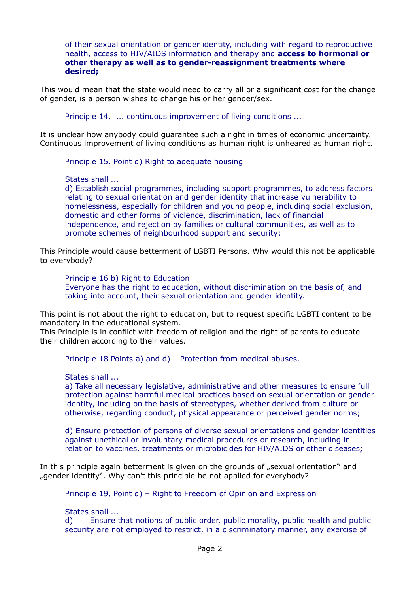of their sexual orientation or gender identity, including with regard to reproductive health, access to HIV/AIDS information and therapy and **access to hormonal or other therapy as well as to gender-reassignment treatments where desired;**

This would mean that the state would need to carry all or a significant cost for the change of gender, is a person wishes to change his or her gender/sex.

Principle 14, ... continuous improvement of living conditions ...

It is unclear how anybody could guarantee such a right in times of economic uncertainty. Continuous improvement of living conditions as human right is unheared as human right.

Principle 15, Point d) Right to adequate housing

States shall ...

d) Establish social programmes, including support programmes, to address factors relating to sexual orientation and gender identity that increase vulnerability to homelessness, especially for children and young people, including social exclusion, domestic and other forms of violence, discrimination, lack of financial independence, and rejection by families or cultural communities, as well as to promote schemes of neighbourhood support and security;

This Principle would cause betterment of LGBTI Persons. Why would this not be applicable to everybody?

Principle 16 b) Right to Education Everyone has the right to education, without discrimination on the basis of, and

taking into account, their sexual orientation and gender identity.

This point is not about the right to education, but to request specific LGBTI content to be mandatory in the educational system.

This Principle is in conflict with freedom of religion and the right of parents to educate their children according to their values.

Principle 18 Points a) and d) – Protection from medical abuses.

States shall ...

a) Take all necessary legislative, administrative and other measures to ensure full protection against harmful medical practices based on sexual orientation or gender identity, including on the basis of stereotypes, whether derived from culture or otherwise, regarding conduct, physical appearance or perceived gender norms;

d) Ensure protection of persons of diverse sexual orientations and gender identities against unethical or involuntary medical procedures or research, including in relation to vaccines, treatments or microbicides for HIV/AIDS or other diseases;

In this principle again betterment is given on the grounds of "sexual orientation" and "gender identity". Why can't this principle be not applied for everybody?

Principle 19, Point d) – Right to Freedom of Opinion and Expression

States shall ...

d) Ensure that notions of public order, public morality, public health and public security are not employed to restrict, in a discriminatory manner, any exercise of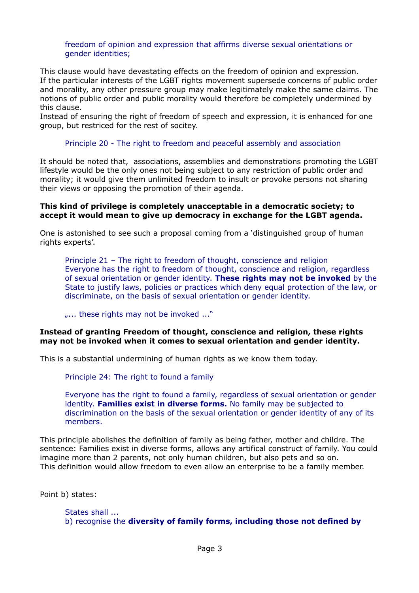## freedom of opinion and expression that affirms diverse sexual orientations or gender identities;

This clause would have devastating effects on the freedom of opinion and expression. If the particular interests of the LGBT rights movement supersede concerns of public order and morality, any other pressure group may make legitimately make the same claims. The notions of public order and public morality would therefore be completely undermined by this clause.

Instead of ensuring the right of freedom of speech and expression, it is enhanced for one group, but restriced for the rest of socitey.

## Principle 20 - The right to freedom and peaceful assembly and association

It should be noted that, associations, assemblies and demonstrations promoting the LGBT lifestyle would be the only ones not being subject to any restriction of public order and morality; it would give them unlimited freedom to insult or provoke persons not sharing their views or opposing the promotion of their agenda.

### **This kind of privilege is completely unacceptable in a democratic society; to accept it would mean to give up democracy in exchange for the LGBT agenda.**

One is astonished to see such a proposal coming from a 'distinguished group of human rights experts'.

Principle 21 – The right to freedom of thought, conscience and religion Everyone has the right to freedom of thought, conscience and religion, regardless of sexual orientation or gender identity. **These rights may not be invoked** by the State to justify laws, policies or practices which deny equal protection of the law, or discriminate, on the basis of sexual orientation or gender identity.

"... these rights may not be invoked ..."

### **Instead of granting Freedom of thought, conscience and religion, these rights may not be invoked when it comes to sexual orientation and gender identity.**

This is a substantial undermining of human rights as we know them today.

Principle 24: The right to found a family

Everyone has the right to found a family, regardless of sexual orientation or gender identity. **Families exist in diverse forms.** No family may be subjected to discrimination on the basis of the sexual orientation or gender identity of any of its members.

This principle abolishes the definition of family as being father, mother and childre. The sentence: Families exist in diverse forms, allows any artifical construct of family. You could imagine more than 2 parents, not only human children, but also pets and so on. This definition would allow freedom to even allow an enterprise to be a family member.

Point b) states:

```
States shall ...
b) recognise the diversity of family forms, including those not defined by
```